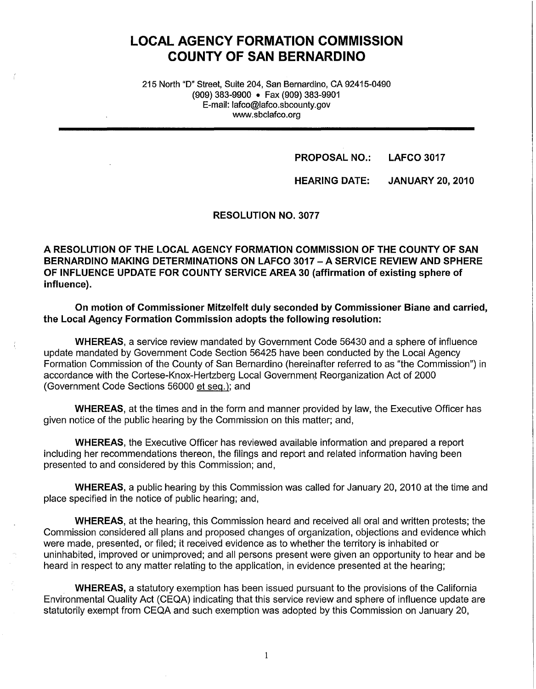# **LOCAL AGENCY FORMATION COMMISSION COUNTY OF SAN BERNARDINO**

215 North "D" Street, Suite 204, San Bernardino, CA 92415-0490 (909} 383-9900 • Fax (909} 383-9901 E-mail: lafco@lafco.sbcounty.gov www.sbclafco.org

**PROPOSAL NO.: LAFCO 3017** 

**HEARING DATE: JANUARY 20, 2010** 

#### **RESOLUTION NO. 3077**

**A RESOLUTION OF THE LOCAL AGENCY FORMATION COMMISSION OF THE COUNTY OF SAN BERNARDINO MAKING DETERMINATIONS ON LAFCO 3017 -A SERVICE REVIEW AND SPHERE OF INFLUENCE UPDATE FOR COUNTY SERVICE AREA 30 (affirmation of existing sphere of influence).** 

**On motion of Commissioner Mitzelfelt duly seconded by Commissioner Biane and carried, the Local Agency Formation Commission adopts the following resolution:** 

**WHEREAS,** a service review mandated by Government Code 56430 and a sphere of influence update mandated by Government Code Section 56425 have been conducted by the Local Agency Formation Commission of the County of San Bernardino (hereinafter referred to as "the Commission") in accordance with the Cortese-Knox-Hertzberg Local Government Reorganization Act of 2000 (Government Code Sections 56000 et seq.); and

**WHEREAS,** at the times and in the form and manner provided by law, the Executive Officer has given notice of the public hearing by the Commission on this matter; and,

**WHEREAS,** the Executive Officer has reviewed available information and prepared a report including her recommendations thereon, the filings and report and related information having been presented to and considered by this Commission; and,

**WHEREAS,** a public hearing by this Commission was called for January 20, 2010 at the time and place specified in the notice of public hearing; and,

**WHEREAS,** at the hearing, this Commission heard and received all oral and written protests; the Commission considered all plans and proposed changes of organization, objections and evidence which were made, presented, or filed; it received evidence as to whether the territory is inhabited or uninhabited, improved or unimproved; and all persons present were given an opportunity to hear and be heard in respect to any matter relating to the application, in evidence presented at the hearing;

**WHEREAS,** a statutory exemption has been issued pursuant to the provisions of the California Environmental Quality Act (CEQA) indicating that this service review and sphere of influence update are statutorily exempt from CEQA and such exemption was adopted by this Commission on January 20,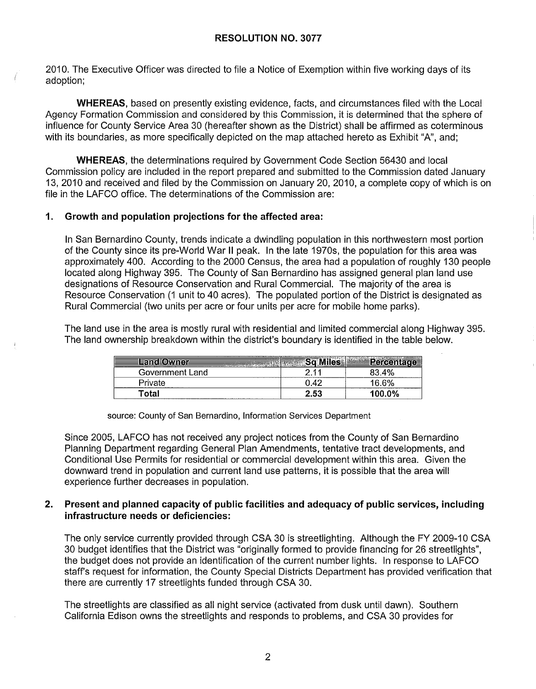2010. The Executive Officer was directed to file a Notice of Exemption within five working days of its adoption;

**WHEREAS,** based on presently existing evidence, facts, and circumstances filed with the Local Agency Formation Commission and considered by this Commission, it is determined that the sphere of influence for County Service Area 30 (hereafter shown as the District) shall be affirmed as coterminous with its boundaries, as more specifically depicted on the map attached hereto as Exhibit "A", and;

**WHEREAS,** the determinations required by Government Code Section 56430 and local Commission policy are included in the report prepared and submitted to the Commission dated January 13, 2010 and received and filed by the Commission on January 20, 2010, a complete copy of which is on file in the LAFCO office. The determinations of the Commission are:

### **1. Growth and population projections for the affected area:**

In San Bernardino County, trends indicate a dwindling population in this northwestern most portion of the County since its pre-World War II peak. In the late 1970s, the population for this area was approximately 400. According to the 2000 Census, the area had a population of roughly 130 people located along Highway 395. The County of San Bernardino has assigned general plan land use designations of Resource Conservation and Rural Commercial. The majority of the area is Resource Conservation (1 unit to 40 acres). The populated portion of the District is designated as Rural Commercial (two units per acre or four units per acre for mobile home parks).

The land use in the area is mostly rural with residential and limited commercial along Highway 395. The land ownership breakdown within the district's boundary is identified in the table below.

| Land Owner      |            | Percentage |
|-----------------|------------|------------|
| Government Land | -11        | 83.4%      |
| Private         | $.4^\circ$ | 16.6%      |
| ™otal           | 2.53       | 100.0%     |

source: County of San Bernardino, Information Services Department

Since 2005, LAFCO has not received any project notices from the County of San Bernardino Planning Department regarding General Plan Amendments, tentative tract developments, and Conditional Use Permits for residential or commercial development within this area. Given the downward trend in population and current land use patterns, it is possible that the area will experience further decreases in population.

#### **2. Present and planned capacity of public facilities and adequacy of public services, including infrastructure needs or deficiencies:**

The only service currently provided through CSA 30 is streetlighting. Although the FY 2009-10 CSA 30 budget identifies that the District was "originally formed to provide financing for 26 streetlights", the budget does not provide an identification of the current number lights. In response to LAFCO staff's request for information, the County Special Districts Department has provided verification that there are currently 17 streetlights funded through CSA 30.

The streetlights are classified as all night service (activated from dusk until dawn). Southern California Edison owns the streetlights and responds to problems, and CSA 30 provides for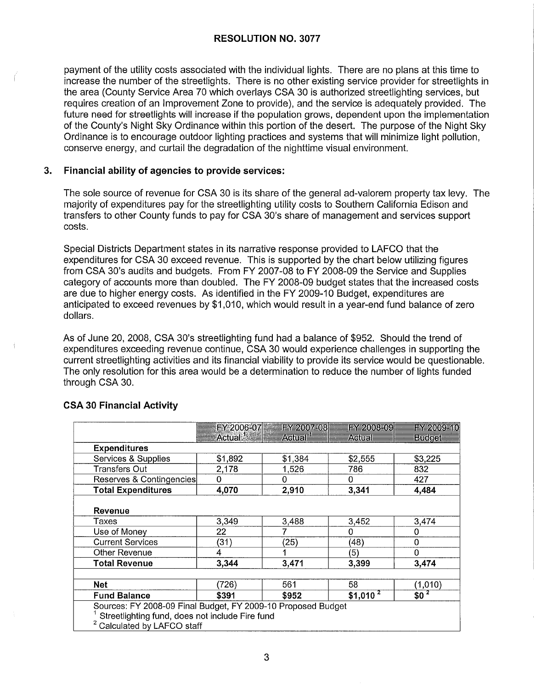### **RESOLUTION NO. 3077**

payment of the utility costs associated with the individual lights. There are no plans at this time to increase the number of the streetlights. There is no other existing service provider for streetlights in the area (County Service Area 70 which overlays CSA 30 is authorized streetlighting services, but requires creation of an Improvement Zone to provide), and the service is adequately provided. The future need for streetlights will increase if the population grows, dependent upon the implementation of the County's Night Sky Ordinance within this portion of the desert. The purpose of the Night Sky Ordinance is to encourage outdoor lighting practices and systems that will minimize light pollution, conserve energy, and curtail the degradation of the nighttime visual environment.

#### **3. Financial ability of agencies to provide services:**

The sole source of revenue for CSA 30 is its share of the general ad-valorem property tax levy. The majority of expenditures pay for the streetlighting utility costs to Southern California Edison and transfers to other County funds to pay for CSA 30's share of management and services support costs.

Special Districts Department states in its narrative response provided to LAFCO that the expenditures for CSA 30 exceed revenue. This is supported by the chart below utilizing figures from CSA 30's audits and budgets. From FY 2007-08 to FY 2008-09 the Service and Supplies category of accounts more than doubled. The FY 2008-09 budget states that the increased costs are due to higher energy costs. As identified in the FY 2009-10 Budget, expenditures are anticipated to exceed revenues by \$1,010, which would result in a year-end fund balance of zero dollars.

As of June 20, 2008, CSA 30's streetlighting fund had a balance of \$952. Should the trend of expenditures exceeding revenue continue, CSA 30 would experience challenges in supporting the current streetlighting activities and its financial viability to provide its service would be questionable. The only resolution for this area would be a determination to reduce the number of lights funded through CSA 30.

|                                                 |                                                              | FY 2006-07 FY 2007-08 | FY 2008-09 | FY 2009-10    |
|-------------------------------------------------|--------------------------------------------------------------|-----------------------|------------|---------------|
|                                                 | Actual $\mathbb{R}^n$ is a set of $\mathbb{R}^n$             | Actual <sup>1</sup>   | Actual     | <b>Budget</b> |
| <b>Expenditures</b>                             |                                                              |                       |            |               |
| Services & Supplies                             | \$1,892                                                      | \$1,384               | \$2,555    | \$3,225       |
| Transfers Out                                   | 2,178                                                        | 1.526                 | 786        | 832           |
| Reserves & Contingencies                        | Ω                                                            | 0                     | 0          | 427           |
| <b>Total Expenditures</b>                       | 4,070                                                        | 2,910                 | 3,341      | 4,484         |
|                                                 |                                                              |                       |            |               |
| Revenue                                         |                                                              |                       |            |               |
| Taxes                                           | 3,349                                                        | 3,488                 | 3,452      | 3,474         |
| Use of Money                                    | 22                                                           |                       | 0          | 0             |
| <b>Current Services</b>                         | (31)                                                         | (25)                  | (48)       | 0             |
| Other Revenue                                   | 4                                                            |                       | (5)        | 0             |
| <b>Total Revenue</b>                            | 3,344                                                        | 3,471                 | 3,399      | 3.474         |
|                                                 |                                                              |                       |            |               |
| <b>Net</b>                                      | (726)                                                        | 561                   | 58         | (1,010)       |
| <b>Fund Balance</b>                             | \$391                                                        | \$952                 | $$1,010^2$ | $$0^2$        |
|                                                 | Sources: FY 2008-09 Final Budget, FY 2009-10 Proposed Budget |                       |            |               |
| Streetlighting fund, does not include Fire fund |                                                              |                       |            |               |
| <sup>2</sup> Calculated by LAFCO staff          |                                                              |                       |            |               |

### **CSA 30 Financial Activity**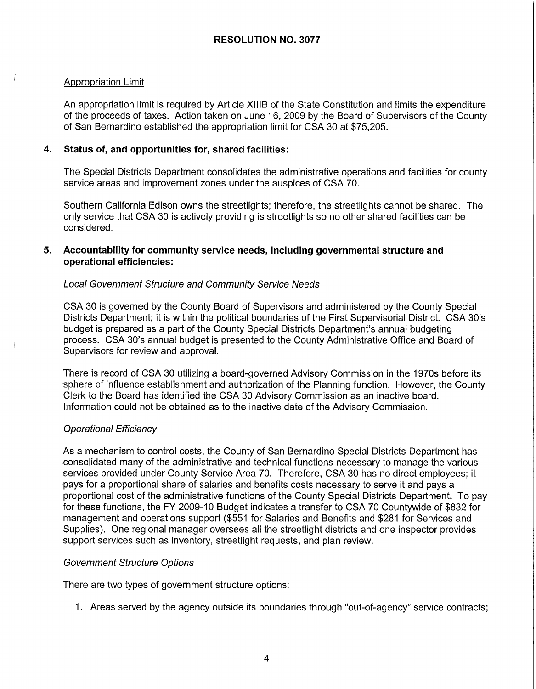## Appropriation Limit

An appropriation limit is required by Article XIIIB of the State Constitution and limits the expenditure of the proceeds of taxes. Action taken on June 16, 2009 by the Board of Supervisors of the County of San Bernardino established the appropriation limit for CSA 30 at \$75,205.

## **4. Status of, and opportunities for, shared facilities:**

The Special Districts Department consolidates the administrative operations and facilities for county service areas and improvement zones under the auspices of CSA 70.

Southern California Edison owns the streetlights; therefore, the streetlights cannot be shared. The only service that CSA 30 is actively providing is streetlights so no other shared facilities can be considered.

### **5. Accountability for community service needs, including governmental structure and operational efficiencies:**

### Local Government Structure and Community Service Needs

CSA 30 is governed by the County Board of Supervisors and administered by the County Special Districts Department; it is within the political boundaries of the First Supervisorial District. CSA 30's budget is prepared as a part of the County Special Districts Department's annual budgeting process. CSA 30's annual budget is presented to the County Administrative Office and Board of Supervisors for review and approval.

There is record of CSA 30 utilizing a board-governed Advisory Commission in the 1970s before its sphere of influence establishment and authorization of the Planning function. However, the County Clerk to the Board has identified the CSA 30 Advisory Commission as an inactive board. Information could not be obtained as to the inactive date of the Advisory Commission.

### Operational Efficiency

As a mechanism to control costs, the County of San Bernardino Special Districts Department has consolidated many of the administrative and technical functions necessary to manage the various services provided under County Service Area 70. Therefore, CSA 30 has no direct employees; it pays for a proportional share of salaries and benefits costs necessary to serve it and pays a proportional cost of the administrative functions of the County Special Districts Department. To pay for these functions, the FY 2009-10 Budget indicates a transfer to CSA 70 Countywide of \$832 for management and operations support (\$551 for Salaries and Benefits and \$281 for Services and Supplies). One regional manager oversees all the streetlight districts and one inspector provides support services such as inventory, streetlight requests, and plan review.

### Government Structure Options

There are two types of government structure options:

1. Areas served by the agency outside its boundaries through "out-of-agency" service contracts;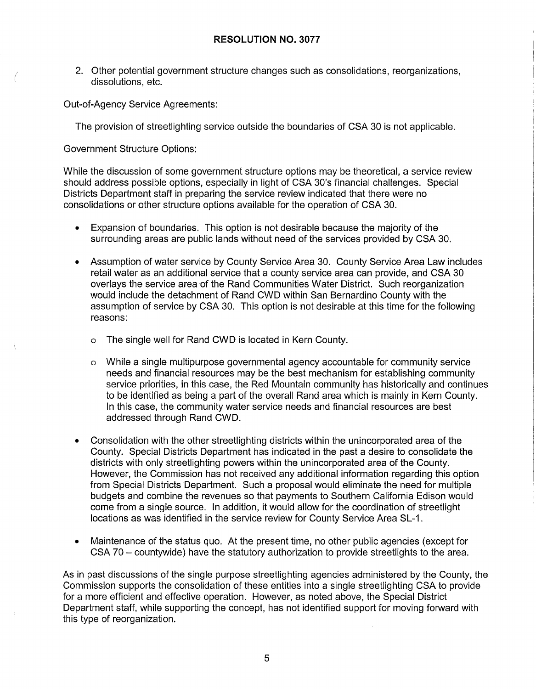2. Other potential government structure changes such as consolidations, reorganizations, dissolutions, etc.

Out-of-Agency Service Agreements:

The provision of streetlighting service outside the boundaries of CSA 30 is not applicable.

Government Structure Options:

While the discussion of some government structure options may be theoretical, a service review should address possible options, especially in light of CSA 30's financial challenges. Special Districts Department staff in preparing the service review indicated that there were no consolidations or other structure options available for the operation of CSA 30.

- Expansion of boundaries. This option is not desirable because the majority of the surrounding areas are public lands without need of the services provided by CSA 30.
- Assumption of water service by County Service Area 30. County Service Area Law includes retail water as an additional service that a county service area can provide, and CSA 30 overlays the service area of the Rand Communities Water District. Such reorganization would include the detachment of Rand CWD within San Bernardino County with the assumption of service by CSA 30. This option is not desirable at this time for the following reasons:
	- o The single well for Rand CWD is located in Kern County.
	- o While a single multipurpose governmental agency accountable for community service needs and financial resources may be the best mechanism for establishing community service priorities, in this case, the Red Mountain community has historically and continues to be identified as being a part of the overall Rand area which is mainly in Kern County. In this case, the community water service needs and financial resources are best addressed through Rand CWD.
- Consolidation with the other streetlighting districts within the unincorporated area of the County. Special Districts Department has indicated in the past a desire to consolidate the districts with only streetlighting powers within the unincorporated area of the County. However, the Commission has not received any additional information regarding this option from Special Districts Department. Such a proposal would eliminate the need for multiple budgets and combine the revenues so that payments to Southern California Edison would come from a single source. In addition, it would allow for the coordination of streetlight locations as was identified in the service review for County Service Area SL-1.
- Maintenance of the status quo. At the present time, no other public agencies (except for CSA 70 - countywide) have the statutory authorization to provide streetlights to the area.

As in past discussions of the single purpose streetlighting agencies administered by the County, the Commission supports the consolidation of these entities into a single streetlighting CSA to provide for a more efficient and effective operation. However, as noted above, the Special District Department staff, while supporting the concept, has not identified support for moving forward with this type of reorganization.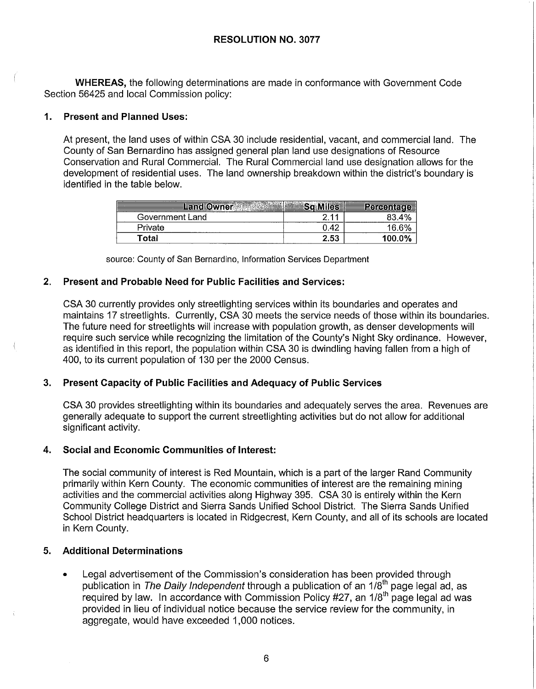**WHEREAS,** the following determinations are made in conformance with Government Code Section 56425 and local Commission policy:

### **1. Present and Planned Uses:**

At present, the land uses of within CSA 30 include residential, vacant, and commercial land. The County of San Bernardino has assigned general plan land use designations of Resource Conservation and Rural Commercial. The Rural Commercial land use designation allows for the development of residential uses. The land ownership breakdown within the district's boundary is identified in the table below.

| <b>Land Owner</b> | Sq Miles | Percentage |
|-------------------|----------|------------|
| Government Land   |          | 83.4%      |
| Private           | 0.42     | 16.6%      |
| Total             | 2.53     | 100.0%     |

source: County of San Bernardino, Information Services Department

### **2. Present and Probable Need for Public Facilities and Services:**

CSA 30 currently provides only streetlighting services within its boundaries and operates and maintains 17 streetlights. Currently, CSA 30 meets the service needs of those within its boundaries. The future need for streetlights will increase with population growth, as denser developments will require such service while recognizing the limitation of the County's Night Sky ordinance. However, as identified in this report, the population within CSA 30 is dwindling having fallen from a high of 400, to its current population of 130 per the 2000 Census.

### **3. Present Capacity of Public Facilities and Adequacy of Public Services**

CSA 30 provides streetlighting within its boundaries and adequately serves the area. Revenues are generally adequate to support the current streetlighting activities but do not allow for additional significant activity.

### **4. Social and Economic Communities of Interest:**

The social community of interest is Red Mountain, which is a part of the larger Rand Community primarily within Kern County. The economic communities of interest are the remaining mining activities and the commercial activities along Highway 395. CSA 30 is entirely within the Kern Community College District and Sierra Sands Unified School District. The Sierra Sands Unified School District headquarters is located in Ridgecrest, Kern County, and all of its schools are located in Kern County.

### **5. Additional Determinations**

• Legal advertisement of the Commission's consideration has been provided through publication in The Daily Independent through a publication of an  $1/8<sup>th</sup>$  page legal ad, as required by law. In accordance with Commission Policy #27, an 118th page legal ad was provided in lieu of individual notice because the service review for the community, in aggregate, would have exceeded 1,000 notices.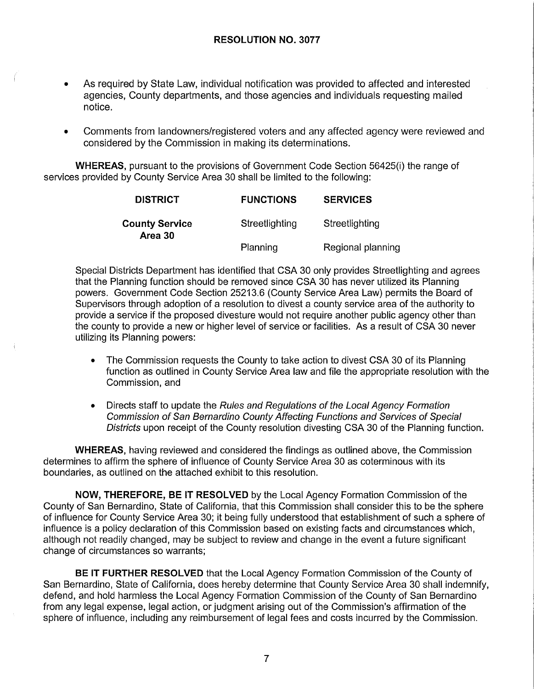- As required by State Law, individual notification was provided to affected and interested agencies, County departments, and those agencies and individuals requesting mailed notice.
- Comments from landowners/registered voters and any affected agency were reviewed and considered by the Commission in making its determinations.

**WHEREAS,** pursuant to the provisions of Government Code Section 56425(i) the range of services provided by County Service Area 30 shall be limited to the following:

| <b>DISTRICT</b>                  | <b>FUNCTIONS</b> | <b>SERVICES</b>   |
|----------------------------------|------------------|-------------------|
| <b>County Service</b><br>Area 30 | Streetlighting   | Streetlighting    |
|                                  | Planning         | Regional planning |

Special Districts Department has identified that CSA 30 only provides Streetlighting and agrees that the Planning function should be removed since CSA 30 has never utilized its Planning powers. Government Code Section 25213.6 (County Service Area Law) permits the Board of Supervisors through adoption of a resolution to divest a county service area of the authority to provide a service if the proposed divesture would not require another public agency other than the county to provide a new or higher level of service or facilities. As a result of CSA 30 never utilizing its Planning powers:

- The Commission requests the County to take action to divest CSA 30 of its Planning function as outlined in County Service Area law and file the appropriate resolution with the Commission, and
- Directs staff to update the Rules and Regulations of the Local Agency Formation Commission of San Bernardino County Affecting Functions and Services of Special Districts upon receipt of the County resolution divesting CSA 30 of the Planning function.

**WHEREAS,** having reviewed and considered the findings as outlined above, the Commission determines to affirm the sphere of influence of County Service Area 30 as coterminous with its boundaries, as outlined on the attached exhibit to this resolution.

**NOW, THEREFORE, BE IT RESOLVED** by the Local Agency Formation Commission of the County of San Bernardino, State of California, that this Commission shall consider this to be the sphere of influence for County Service Area 30; it being fully understood that establishment of such a sphere of influence is a policy declaration of this Commission based on existing facts and circumstances which, although not readily changed, may be subject to review and change in the event a future significant change of circumstances so warrants;

**BE IT FURTHER RESOLVED** that the Local Agency Formation Commission of the County of San Bernardino, State of California, does hereby determine that County Service Area 30 shall indemnify, defend, and hold harmless the Local Agency Formation Commission of the County of San Bernardino from any legal expense, legal action, or judgment arising out of the Commission's affirmation of the sphere of influence, including any reimbursement of legal fees and costs incurred by the Commission.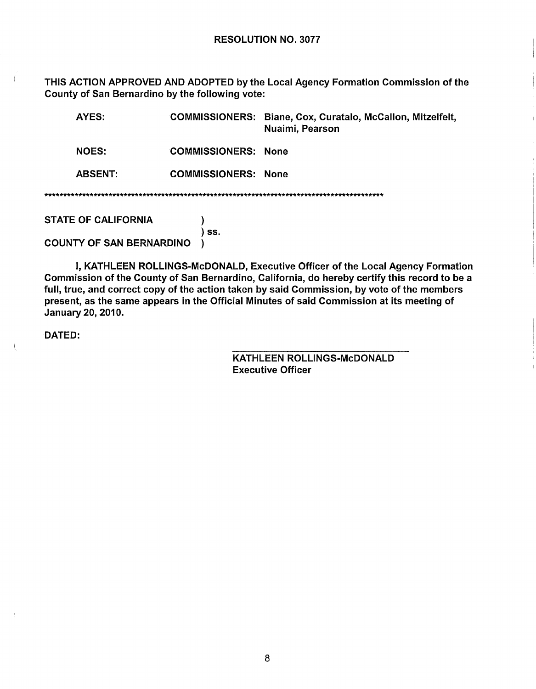THIS ACTION APPROVED AND ADOPTED by the Local Agency Formation Commission of the County of San Bernardino by the following vote:

| AYES:                           |                            | COMMISSIONERS: Biane, Cox, Curatalo, McCallon, Mitzelfelt,<br>Nuaimi, Pearson |
|---------------------------------|----------------------------|-------------------------------------------------------------------------------|
| <b>NOES:</b>                    | <b>COMMISSIONERS: None</b> |                                                                               |
| <b>ABSENT:</b>                  | <b>COMMISSIONERS: None</b> |                                                                               |
|                                 |                            |                                                                               |
| <b>STATE OF CALIFORNIA</b>      |                            |                                                                               |
| <b>COUNTY OF SAN BERNARDINO</b> | SS.                        |                                                                               |

I, KATHLEEN ROLLINGS-McDONALD, Executive Officer of the Local Agency Formation Commission of the County of San Bernardino, California, do hereby certify this record to be a full, true, and correct copy of the action taken by said Commission, by vote of the members present, as the same appears in the Official Minutes of said Commission at its meeting of January 20, 2010.

DATED:

 $\left($ 

KATHLEEN ROLLINGS-McDONALD **Executive Officer** 

8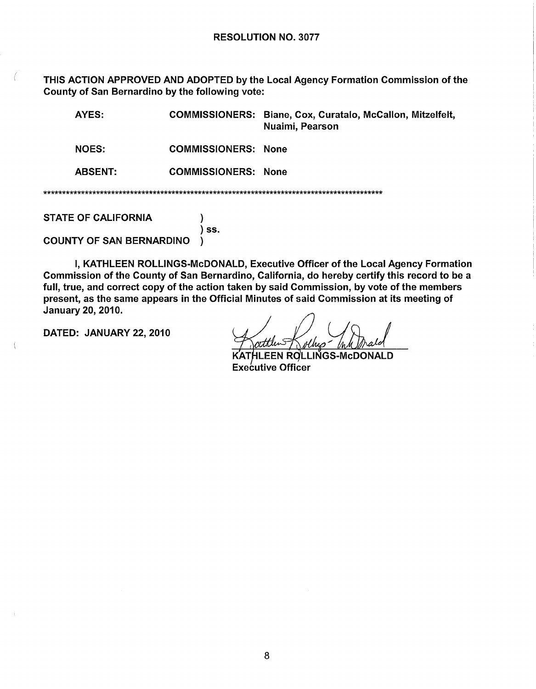THIS ACTION APPROVED AND ADOPTED by the Local Agency Formation Commission of the County of San Bernardino by the following vote:

| AYES:                           | <b>COMMISSIONERS:</b> | Biane, Cox, Curatalo, McCallon, Mitzelfelt,<br>Nuaimi, Pearson |
|---------------------------------|-----------------------|----------------------------------------------------------------|
| <b>NOES:</b>                    | <b>COMMISSIONERS:</b> | <b>None</b>                                                    |
| <b>ABSENT:</b>                  | <b>COMMISSIONERS:</b> | None                                                           |
|                                 |                       |                                                                |
| <b>STATE OF CALIFORNIA</b>      |                       |                                                                |
| <b>COUNTY OF SAN BERNARDINO</b> | SS.                   |                                                                |

I, KATHLEEN ROLLINGS-McDONALD, Executive Officer of the Local Agency Formation Commission of the County of San Bernardino, California, do hereby certify this record to be a full, true, and correct copy of the action taken by said Commission, by vote of the members present, as the same appears in the Official Minutes of said Commission at its meeting of January 20, 2010.

DATED: JANUARY 22, 2010

EEN ROLLINGS-McDONALD **Executive Officer**